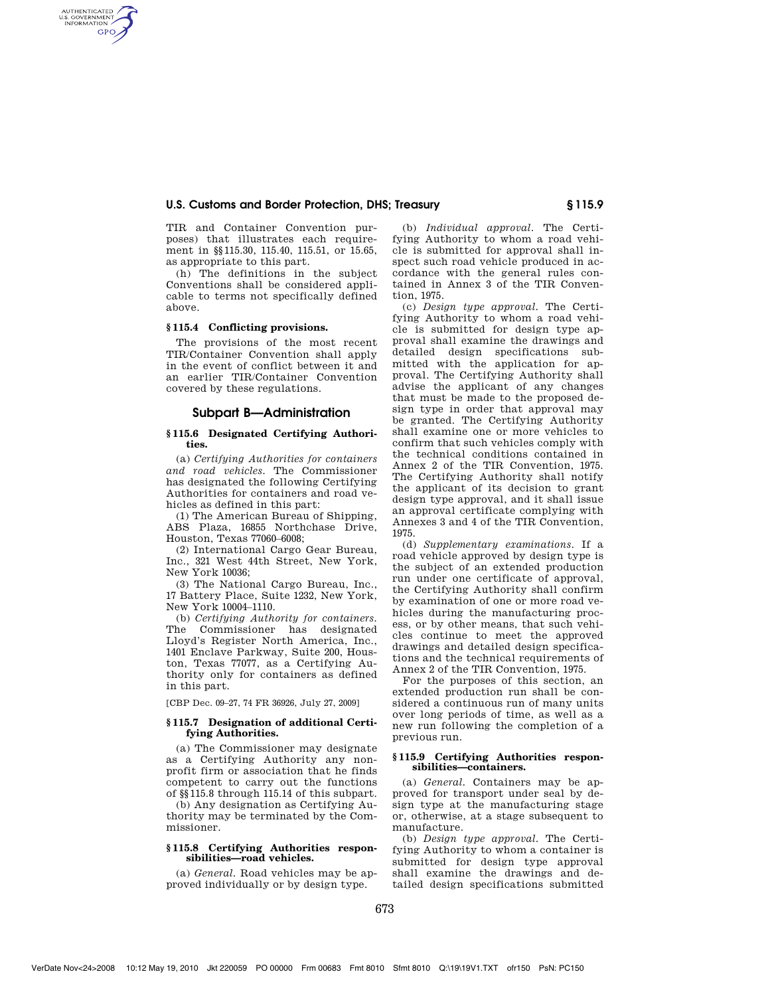## **U.S. Customs and Border Protection, DHS; Treasury § 115.9**

TIR and Container Convention purposes) that illustrates each requirement in §§115.30, 115.40, 115.51, or 15.65, as appropriate to this part.

(h) The definitions in the subject Conventions shall be considered applicable to terms not specifically defined above.

#### **§ 115.4 Conflicting provisions.**

AUTHENTICATED<br>U.S. GOVERNMENT<br>INFORMATION **GPO** 

> The provisions of the most recent TIR/Container Convention shall apply in the event of conflict between it and an earlier TIR/Container Convention covered by these regulations.

### **Subpart B—Administration**

### **§ 115.6 Designated Certifying Authorities.**

(a) *Certifying Authorities for containers and road vehicles.* The Commissioner has designated the following Certifying Authorities for containers and road vehicles as defined in this part:

(1) The American Bureau of Shipping, ABS Plaza, 16855 Northchase Drive, Houston, Texas 77060–6008;

(2) International Cargo Gear Bureau, Inc., 321 West 44th Street, New York, New York 10036;

(3) The National Cargo Bureau, Inc., 17 Battery Place, Suite 1232, New York, New York 10004–1110.

(b) *Certifying Authority for containers.*  The Commissioner has designated Lloyd's Register North America, Inc., 1401 Enclave Parkway, Suite 200, Houston, Texas 77077, as a Certifying Authority only for containers as defined in this part.

[CBP Dec. 09–27, 74 FR 36926, July 27, 2009]

### **§ 115.7 Designation of additional Certifying Authorities.**

(a) The Commissioner may designate as a Certifying Authority any nonprofit firm or association that he finds competent to carry out the functions of §§115.8 through 115.14 of this subpart.

(b) Any designation as Certifying Authority may be terminated by the Commissioner.

#### **§ 115.8 Certifying Authorities responsibilities—road vehicles.**

(a) *General.* Road vehicles may be approved individually or by design type.

(b) *Individual approval.* The Certifying Authority to whom a road vehicle is submitted for approval shall inspect such road vehicle produced in accordance with the general rules contained in Annex 3 of the TIR Convention, 1975.

(c) *Design type approval.* The Certifying Authority to whom a road vehicle is submitted for design type approval shall examine the drawings and detailed design specifications submitted with the application for approval. The Certifying Authority shall advise the applicant of any changes that must be made to the proposed design type in order that approval may be granted. The Certifying Authority shall examine one or more vehicles to confirm that such vehicles comply with the technical conditions contained in Annex 2 of the TIR Convention, 1975. The Certifying Authority shall notify the applicant of its decision to grant design type approval, and it shall issue an approval certificate complying with Annexes 3 and 4 of the TIR Convention, 1975.

(d) *Supplementary examinations.* If a road vehicle approved by design type is the subject of an extended production run under one certificate of approval, the Certifying Authority shall confirm by examination of one or more road vehicles during the manufacturing process, or by other means, that such vehicles continue to meet the approved drawings and detailed design specifications and the technical requirements of Annex 2 of the TIR Convention, 1975.

For the purposes of this section, an extended production run shall be considered a continuous run of many units over long periods of time, as well as a new run following the completion of a previous run.

### **§ 115.9 Certifying Authorities responsibilities—containers.**

(a) *General.* Containers may be approved for transport under seal by design type at the manufacturing stage or, otherwise, at a stage subsequent to manufacture.

(b) *Design type approval.* The Certifying Authority to whom a container is submitted for design type approval shall examine the drawings and detailed design specifications submitted

VerDate Nov<24>2008 10:12 May 19, 2010 Jkt 220059 PO 00000 Frm 00683 Fmt 8010 Sfmt 8010 Q:\19\19V1.TXT ofr150 PsN: PC150